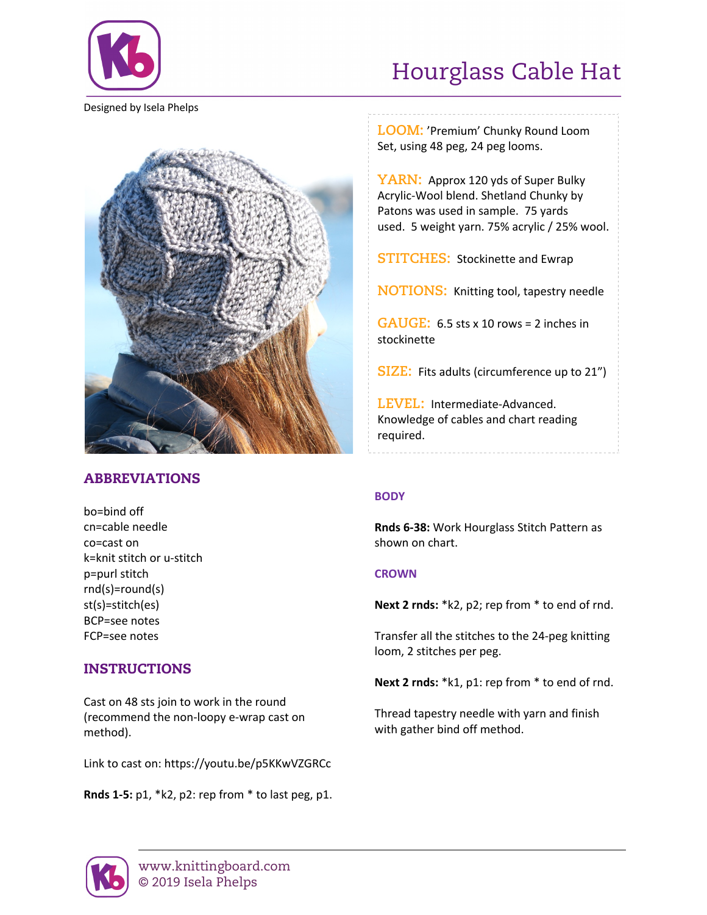

Hourglass Cable Hat

Designed by Isela Phelps



# ABBREVIATIONS

bo=bind off cn=cable needle co=cast on k=knit stitch or u-stitch p=purl stitch rnd(s)=round(s) st(s)=stitch(es) BCP=see notes FCP=see notes

# INSTRUCTIONS

Cast on 48 sts join to work in the round (recommend the non-loopy e-wrap cast on method).

Link to cast on: https://youtu.be/p5KKwVZGRCc

**Rnds 1-5:** p1, \*k2, p2: rep from \* to last peg, p1.

**LOOM:** 'Premium' Chunky Round Loom Set, using 48 peg, 24 peg looms.

**YARN:** Approx 120 yds of Super Bulky Acrylic-Wool blend. Shetland Chunky by Patons was used in sample. 75 yards used. 5 weight yarn. 75% acrylic / 25% wool.

**STITCHES:** Stockinette and Ewrap

**NOTIONS:** Knitting tool, tapestry needle

**GAUGE:** 6.5 sts x 10 rows = 2 inches in stockinette

**SIZE:** Fits adults (circumference up to 21")

**LEVEL:** Intermediate-Advanced. Knowledge of cables and chart reading required.

## **BODY**

**Rnds 6-38:** Work Hourglass Stitch Pattern as shown on chart.

### **CROWN**

**Next 2 rnds:** \*k2, p2; rep from \* to end of rnd.

Transfer all the stitches to the 24-peg knitting loom, 2 stitches per peg.

**Next 2 rnds:** \*k1, p1: rep from \* to end of rnd.

Thread tapestry needle with yarn and finish with gather bind off method.